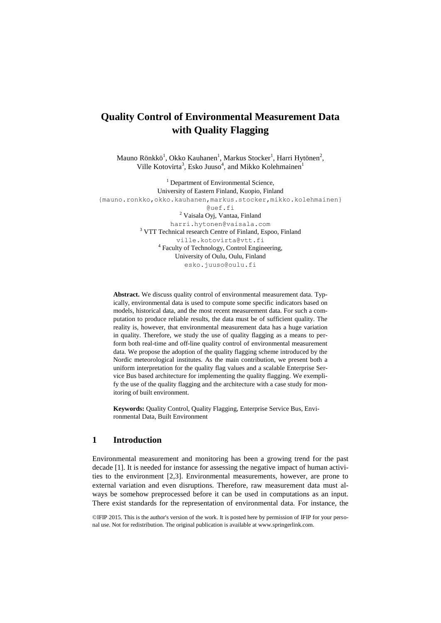# **Quality Control of Environmental Measurement Data with Quality Flagging**

Mauno Rönkkö<sup>1</sup>, Okko Kauhanen<sup>1</sup>, Markus Stocker<sup>1</sup>, Harri Hytönen<sup>2</sup>, Ville Kotovirta<sup>3</sup>, Esko Juuso<sup>4</sup>, and Mikko Kolehmainen<sup>1</sup>

<sup>1</sup> Department of Environmental Science, University of Eastern Finland, Kuopio, Finland {mauno.ronkko,okko.kauhanen,markus.stocker,mikko.kolehmainen} @uef.fi <sup>2</sup> Vaisala Oyj, Vantaa, Finland harri.hytonen@vaisala.com <sup>3</sup> VTT Technical research Centre of Finland, Espoo, Finland ville.kotovirta@vtt.fi 4 Faculty of Technology, Control Engineering, University of Oulu, Oulu, Finland [esko.juuso@oulu.fi](mailto:esko.juuso@oulu.fi)

**Abstract.** We discuss quality control of environmental measurement data. Typically, environmental data is used to compute some specific indicators based on models, historical data, and the most recent measurement data. For such a computation to produce reliable results, the data must be of sufficient quality. The reality is, however, that environmental measurement data has a huge variation in quality. Therefore, we study the use of quality flagging as a means to perform both real-time and off-line quality control of environmental measurement data. We propose the adoption of the quality flagging scheme introduced by the Nordic meteorological institutes. As the main contribution, we present both a uniform interpretation for the quality flag values and a scalable Enterprise Service Bus based architecture for implementing the quality flagging. We exemplify the use of the quality flagging and the architecture with a case study for monitoring of built environment.

**Keywords:** Quality Control, Quality Flagging, Enterprise Service Bus, Environmental Data, Built Environment

#### **1 Introduction**

Environmental measurement and monitoring has been a growing trend for the past decade [1]. It is needed for instance for assessing the negative impact of human activities to the environment [2,3]. Environmental measurements, however, are prone to external variation and even disruptions. Therefore, raw measurement data must always be somehow preprocessed before it can be used in computations as an input. There exist standards for the representation of environmental data. For instance, the

©IFIP 2015. This is the author's version of the work. It is posted here by permission of IFIP for your personal use. Not for redistribution. The original publication is available at www.springerlink.com.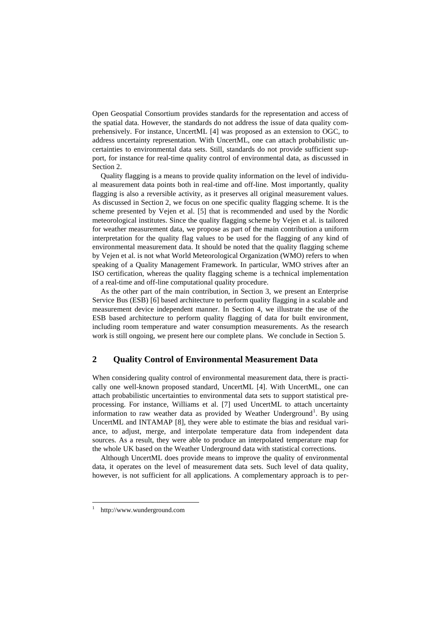Open Geospatial Consortium provides standards for the representation and access of the spatial data. However, the standards do not address the issue of data quality comprehensively. For instance, UncertML [4] was proposed as an extension to OGC, to address uncertainty representation. With UncertML, one can attach probabilistic uncertainties to environmental data sets. Still, standards do not provide sufficient support, for instance for real-time quality control of environmental data, as discussed in Section 2.

Quality flagging is a means to provide quality information on the level of individual measurement data points both in real-time and off-line. Most importantly, quality flagging is also a reversible activity, as it preserves all original measurement values. As discussed in Section 2, we focus on one specific quality flagging scheme. It is the scheme presented by Vejen et al. [5] that is recommended and used by the Nordic meteorological institutes. Since the quality flagging scheme by Vejen et al. is tailored for weather measurement data, we propose as part of the main contribution a uniform interpretation for the quality flag values to be used for the flagging of any kind of environmental measurement data. It should be noted that the quality flagging scheme by Vejen et al. is not what World Meteorological Organization (WMO) refers to when speaking of a Quality Management Framework. In particular, WMO strives after an ISO certification, whereas the quality flagging scheme is a technical implementation of a real-time and off-line computational quality procedure.

As the other part of the main contribution, in Section 3, we present an Enterprise Service Bus (ESB) [6] based architecture to perform quality flagging in a scalable and measurement device independent manner. In Section 4, we illustrate the use of the ESB based architecture to perform quality flagging of data for built environment, including room temperature and water consumption measurements. As the research work is still ongoing, we present here our complete plans. We conclude in Section 5.

## **2 Quality Control of Environmental Measurement Data**

When considering quality control of environmental measurement data, there is practically one well-known proposed standard, UncertML [4]. With UncertML, one can attach probabilistic uncertainties to environmental data sets to support statistical preprocessing. For instance, Williams et al. [7] used UncertML to attach uncertainty information to raw weather data as provided by Weather Underground<sup>1</sup>. By using UncertML and INTAMAP [8], they were able to estimate the bias and residual variance, to adjust, merge, and interpolate temperature data from independent data sources. As a result, they were able to produce an interpolated temperature map for the whole UK based on the Weather Underground data with statistical corrections.

Although UncertML does provide means to improve the quality of environmental data, it operates on the level of measurement data sets. Such level of data quality, however, is not sufficient for all applications. A complementary approach is to per-

 $\overline{\phantom{a}}$ 

<sup>1</sup> http://www.wunderground.com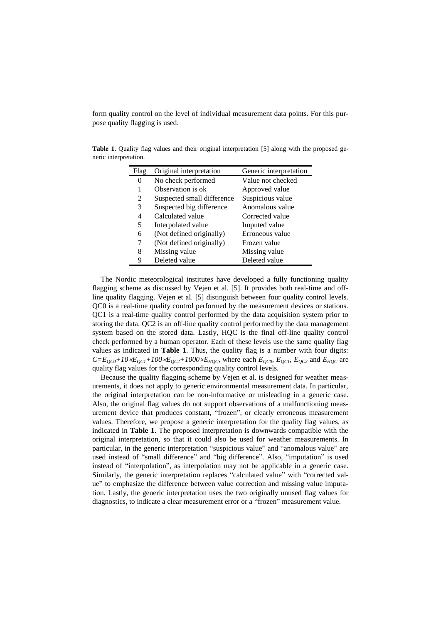form quality control on the level of individual measurement data points. For this purpose quality flagging is used.

Flag Original interpretation Generic interpretation 0 No check performed Value not checked 1 Observation is ok Approved value 2 Suspected small difference Suspicious value 3 Suspected big difference Anomalous value 4 Calculated value Corrected value 5 Interpolated value Imputed value 6 (Not defined originally) Erroneous value 7 (Not defined originally) Frozen value 8 Missing value Missing value 9 Deleted value Deleted value

<span id="page-2-0"></span>**Table 1.** Quality flag values and their original interpretation [5] along with the proposed generic interpretation.

The Nordic meteorological institutes have developed a fully functioning quality flagging scheme as discussed by Vejen et al. [5]. It provides both real-time and offline quality flagging. Vejen et al. [5] distinguish between four quality control levels. QC0 is a real-time quality control performed by the measurement devices or stations. QC1 is a real-time quality control performed by the data acquisition system prior to storing the data. QC2 is an off-line quality control performed by the data management system based on the stored data. Lastly, HQC is the final off-line quality control check performed by a human operator. Each of these levels use the same quality flag values as indicated in **[Table 1](#page-2-0)**. Thus, the quality flag is a number with four digits:  $C=E_{QCO}+I0\times E_{QC1}+I00\times E_{QC2}+I000\times E_{HQC}$ , where each  $E_{QCO}$ ,  $E_{QC1}$ ,  $E_{QC2}$  and  $E_{HQC}$  are quality flag values for the corresponding quality control levels.

Because the quality flagging scheme by Vejen et al. is designed for weather measurements, it does not apply to generic environmental measurement data. In particular, the original interpretation can be non-informative or misleading in a generic case. Also, the original flag values do not support observations of a malfunctioning measurement device that produces constant, "frozen", or clearly erroneous measurement values. Therefore, we propose a generic interpretation for the quality flag values, as indicated in **[Table 1](#page-2-0)**. The proposed interpretation is downwards compatible with the original interpretation, so that it could also be used for weather measurements. In particular, in the generic interpretation "suspicious value" and "anomalous value" are used instead of "small difference" and "big difference". Also, "imputation" is used instead of "interpolation", as interpolation may not be applicable in a generic case. Similarly, the generic interpretation replaces "calculated value" with "corrected value" to emphasize the difference between value correction and missing value imputation. Lastly, the generic interpretation uses the two originally unused flag values for diagnostics, to indicate a clear measurement error or a "frozen" measurement value.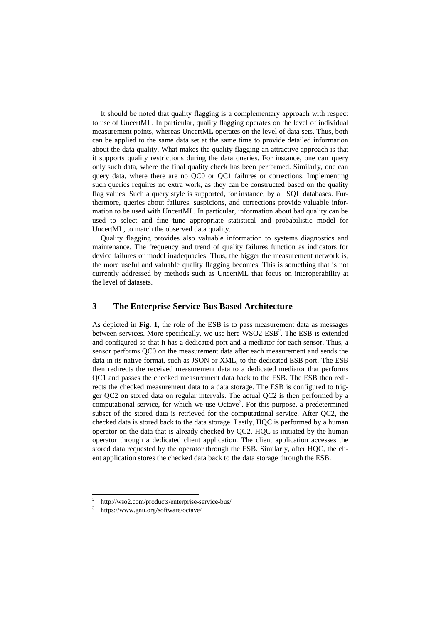It should be noted that quality flagging is a complementary approach with respect to use of UncertML. In particular, quality flagging operates on the level of individual measurement points, whereas UncertML operates on the level of data sets. Thus, both can be applied to the same data set at the same time to provide detailed information about the data quality. What makes the quality flagging an attractive approach is that it supports quality restrictions during the data queries. For instance, one can query only such data, where the final quality check has been performed. Similarly, one can query data, where there are no QC0 or QC1 failures or corrections. Implementing such queries requires no extra work, as they can be constructed based on the quality flag values. Such a query style is supported, for instance, by all SQL databases. Furthermore, queries about failures, suspicions, and corrections provide valuable information to be used with UncertML. In particular, information about bad quality can be used to select and fine tune appropriate statistical and probabilistic model for UncertML, to match the observed data quality.

Quality flagging provides also valuable information to systems diagnostics and maintenance. The frequency and trend of quality failures function as indicators for device failures or model inadequacies. Thus, the bigger the measurement network is, the more useful and valuable quality flagging becomes. This is something that is not currently addressed by methods such as UncertML that focus on interoperability at the level of datasets.

# **3 The Enterprise Service Bus Based Architecture**

As depicted in **[Fig. 1](#page-4-0)**, the role of the ESB is to pass measurement data as messages between services. More specifically, we use here  $WSO2$   $ESB<sup>2</sup>$ . The  $ESB$  is extended and configured so that it has a dedicated port and a mediator for each sensor. Thus, a sensor performs QC0 on the measurement data after each measurement and sends the data in its native format, such as JSON or XML, to the dedicated ESB port. The ESB then redirects the received measurement data to a dedicated mediator that performs QC1 and passes the checked measurement data back to the ESB. The ESB then redirects the checked measurement data to a data storage. The ESB is configured to trigger QC2 on stored data on regular intervals. The actual QC2 is then performed by a computational service, for which we use  $Octave<sup>3</sup>$ . For this purpose, a predetermined subset of the stored data is retrieved for the computational service. After QC2, the checked data is stored back to the data storage. Lastly, HQC is performed by a human operator on the data that is already checked by QC2. HQC is initiated by the human operator through a dedicated client application. The client application accesses the stored data requested by the operator through the ESB. Similarly, after HQC, the client application stores the checked data back to the data storage through the ESB.

 $\overline{\phantom{a}}$ 

<sup>2</sup> http://wso2.com/products/enterprise-service-bus/

<sup>3</sup> https://www.gnu.org/software/octave/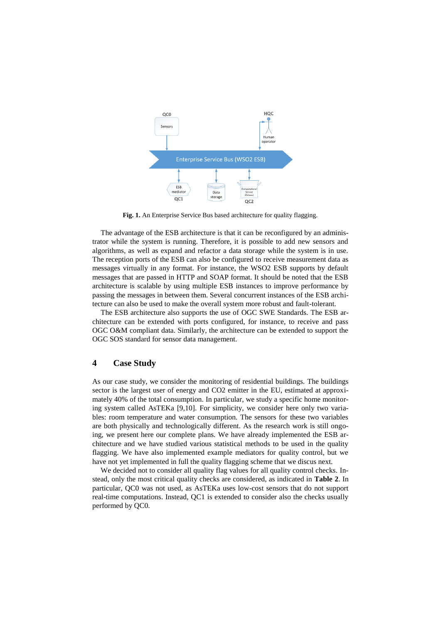

**Fig. 1.** An Enterprise Service Bus based architecture for quality flagging.

<span id="page-4-0"></span>The advantage of the ESB architecture is that it can be reconfigured by an administrator while the system is running. Therefore, it is possible to add new sensors and algorithms, as well as expand and refactor a data storage while the system is in use. The reception ports of the ESB can also be configured to receive measurement data as messages virtually in any format. For instance, the WSO2 ESB supports by default messages that are passed in HTTP and SOAP format. It should be noted that the ESB architecture is scalable by using multiple ESB instances to improve performance by passing the messages in between them. Several concurrent instances of the ESB architecture can also be used to make the overall system more robust and fault-tolerant.

The ESB architecture also supports the use of OGC SWE Standards. The ESB architecture can be extended with ports configured, for instance, to receive and pass OGC O&M compliant data. Similarly, the architecture can be extended to support the OGC SOS standard for sensor data management.

### **4 Case Study**

As our case study, we consider the monitoring of residential buildings. The buildings sector is the largest user of energy and CO2 emitter in the EU, estimated at approximately 40% of the total consumption. In particular, we study a specific home monitoring system called AsTEKa [9,10]. For simplicity, we consider here only two variables: room temperature and water consumption. The sensors for these two variables are both physically and technologically different. As the research work is still ongoing, we present here our complete plans. We have already implemented the ESB architecture and we have studied various statistical methods to be used in the quality flagging. We have also implemented example mediators for quality control, but we have not yet implemented in full the quality flagging scheme that we discus next.

We decided not to consider all quality flag values for all quality control checks. Instead, only the most critical quality checks are considered, as indicated in **[Table 2](#page-5-0)**. In particular, QC0 was not used, as AsTEKa uses low-cost sensors that do not support real-time computations. Instead, QC1 is extended to consider also the checks usually performed by QC0.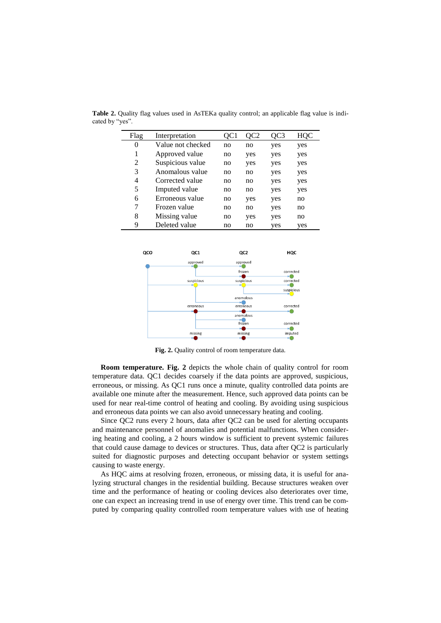| Flag | Interpretation    | OC1 | OC <sub>2</sub> | OC3 | HQC |
|------|-------------------|-----|-----------------|-----|-----|
| 0    | Value not checked | no  | no              | yes | yes |
| 1    | Approved value    | no  | yes             | yes | yes |
| 2    | Suspicious value  | no  | yes             | yes | yes |
| 3    | Anomalous value   | no  | no              | yes | yes |
| 4    | Corrected value   | no  | no              | yes | yes |
| 5    | Imputed value     | no  | no              | yes | yes |
| 6    | Erroneous value   | no  | yes             | yes | no  |
| 7    | Frozen value      | no  | no              | yes | no  |
| 8    | Missing value     | no  | yes             | yes | no  |
| 9    | Deleted value     | no  | no              | yes | yes |

<span id="page-5-0"></span>**Table 2.** Quality flag values used in AsTEKa quality control; an applicable flag value is indicated by "yes".



**Fig. 2.** Quality control of room temperature data.

<span id="page-5-1"></span>**Room temperature. [Fig. 2](#page-5-1)** depicts the whole chain of quality control for room temperature data. QC1 decides coarsely if the data points are approved, suspicious, erroneous, or missing. As QC1 runs once a minute, quality controlled data points are available one minute after the measurement. Hence, such approved data points can be used for near real-time control of heating and cooling. By avoiding using suspicious and erroneous data points we can also avoid unnecessary heating and cooling.

Since QC2 runs every 2 hours, data after QC2 can be used for alerting occupants and maintenance personnel of anomalies and potential malfunctions. When considering heating and cooling, a 2 hours window is sufficient to prevent systemic failures that could cause damage to devices or structures. Thus, data after QC2 is particularly suited for diagnostic purposes and detecting occupant behavior or system settings causing to waste energy.

As HQC aims at resolving frozen, erroneous, or missing data, it is useful for analyzing structural changes in the residential building. Because structures weaken over time and the performance of heating or cooling devices also deteriorates over time, one can expect an increasing trend in use of energy over time. This trend can be computed by comparing quality controlled room temperature values with use of heating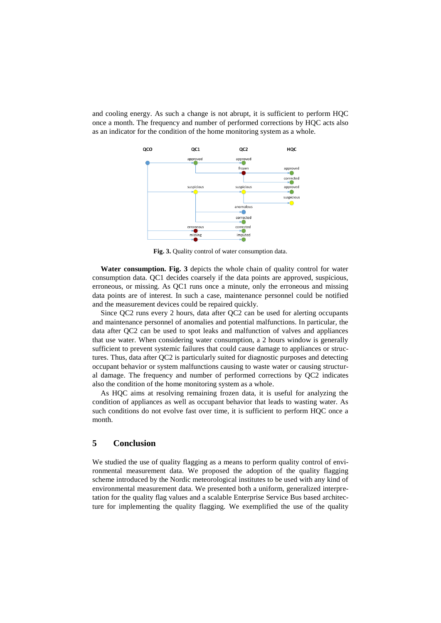and cooling energy. As such a change is not abrupt, it is sufficient to perform HQC once a month. The frequency and number of performed corrections by HQC acts also as an indicator for the condition of the home monitoring system as a whole.



**Fig. 3.** Quality control of water consumption data.

<span id="page-6-0"></span>**Water consumption. [Fig. 3](#page-6-0)** depicts the whole chain of quality control for water consumption data. QC1 decides coarsely if the data points are approved, suspicious, erroneous, or missing. As QC1 runs once a minute, only the erroneous and missing data points are of interest. In such a case, maintenance personnel could be notified and the measurement devices could be repaired quickly.

Since QC2 runs every 2 hours, data after QC2 can be used for alerting occupants and maintenance personnel of anomalies and potential malfunctions. In particular, the data after QC2 can be used to spot leaks and malfunction of valves and appliances that use water. When considering water consumption, a 2 hours window is generally sufficient to prevent systemic failures that could cause damage to appliances or structures. Thus, data after QC2 is particularly suited for diagnostic purposes and detecting occupant behavior or system malfunctions causing to waste water or causing structural damage. The frequency and number of performed corrections by QC2 indicates also the condition of the home monitoring system as a whole.

As HQC aims at resolving remaining frozen data, it is useful for analyzing the condition of appliances as well as occupant behavior that leads to wasting water. As such conditions do not evolve fast over time, it is sufficient to perform HQC once a month.

# **5 Conclusion**

We studied the use of quality flagging as a means to perform quality control of environmental measurement data. We proposed the adoption of the quality flagging scheme introduced by the Nordic meteorological institutes to be used with any kind of environmental measurement data. We presented both a uniform, generalized interpretation for the quality flag values and a scalable Enterprise Service Bus based architecture for implementing the quality flagging. We exemplified the use of the quality